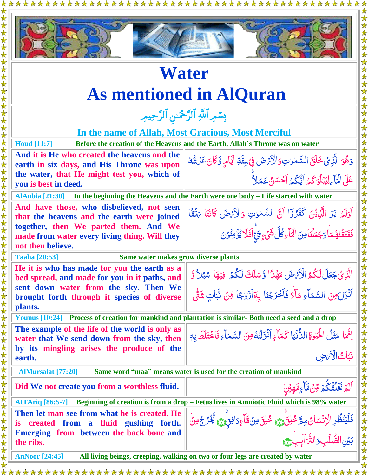\*\*\*\*\*\*\*\*\*\*\*\*\*\*\*\*\*\*



## **Water As mentioned in AlQuran** بِسْمِرِ اللَّهِ الرَّحْمَٰنِ الرَّحِيمِرِ **In the name of Allah, Most Gracious, Most Merciful Houd [11:7] Before the creation of the Heavens and the Earth, Allah's Throne was on water And it is He who created the heavens and the earth in six days, and His Throne was upon the water, that He might test you, which of you is best in deed.**  وَهُوَ الَّذِيْ خَلَقَ السَّمٰوٰتِ وَالْأَيْهَٰ فِي سِتَّةِ اَيَّامٍ وَّكَانَ عَرُشُهُ <u>هُ</u>  $\zeta$ ٰ ٰ Ĩ Í ž <u>ت</u> Ï ֧֚֚֝<br>֧֚֝ ان<br>ما َل ِ ع ٓاء ا ۡل ُكم و ل ب ي ِ ُ ُكم ا ي ن س لا ا ح م ع ؕ ĺ  $\mu$ بَ<br>أ ل ĺ ׇׇׇׇ֧֡֡׆<br>֧֪֪֪ <u>ُ</u> **AlAnbia [21:30] In the beginning the Heavens and the Earth were one body – Life started with water And have those, who disbelieved, not seen that the heavens and the earth were joined together, then We parted them. And We made from water every living thing. Will they not then believe.**  Á اَوَلَمۡ يَرَ الَّذِيۡنَ كَفَرُوۡٓا اَنَّ السَّمٰوٰتِ وَالۡأَرۡهَٰنَ كَانَتَا ءَتُقَّا ل  $\tilde{\zeta}$ ĺ ر<br>ر Ë ٰ ٰ Ÿ فَفَتَقُّنْهُمَاً وَجَعَلْنَا مِنَ الْمَاءِ كُلَّ شَيْءٍ حَيَّ اَفَلَا يُؤْمِنُوۡنَ  $\overline{\mathcal{L}}$ ٰ ĺ ׆֞ ĺ ر<br>ا أديما  $\frac{1}{2}$ **Taaha [20:53] Same water makes grow diverse plants He it is who has made for you the earth as a bed spread, and made for you in it paths, and sent down water from the sky. Then We brought forth through it species of diverse plants.**  الَّذِى جَعَلَ لَكُمُ الْأَبْضَ مَهْدًا وَّسَلَكَ لَكُمْ فِيْهَا سُبُلاً وَّ **گر** ا<br>ا Ï Á ا<br>ا í بُ Í Ï اَذۡزَلَ مِنَ السَّمَآءِ مَآءً فَاَخۡرَجۡنَا بِهَاۤزۡوٰجًا مِّنۡ نَّبَاتٍ شَتَّىٰ Ĩ ź ֖֦֧֚֚֡<u>֚</u>  $\frac{1}{2}$  $\tilde{\cdot}$ أر ř, ۊ **Younus [10:24] Process of creation for mankind and plantation is similar- Both need a seed and a drop The example of the life of the world is only as water that We send down from the sky, then by its mingling arises the produce of the earth.**  اِنَّمَا مَثَلُ الْحَيْوةِ الدُّنْيَا ٰ ن<br>أ ي الدُّنۡيَا كَمَآءٍ اَنۡزَلۡنُهُ مِنَ السَّمَآءِ فَاخۡتَلَطَ بِهٖ **شا** <u>ځ</u> ٰ Ĩ Ź نَبَاتُ الْأَرْضِ ام<br>ا  $\tilde{J}$  **AlMursalat [77:20] Same word "maa" means water is used for the creation of mankind Did We not create you from a worthless fluid.**   $\tilde{\mathbf{r}}$ ٱڶ*ٓۮ*ۣ<sup>ڬ</sup>ٙػؙڶ۠ڦۛػ۠ؖؗۮڟؚ*ۊۺ*ٞڡۜٚٵۧۦٟڡۜۜۿؚؽٙڹۣٚ  $\tilde{\mathbf{r}}$ **شا** ادها<br>ا  $\frac{1}{2}$ قح  $\ddot{\phantom{1}}$  $\ddot{\hat{}}$ **AtTAriq [86:5-7] Beginning of creation is from a drop – Fetus lives in Amniotic Fluid which is 98% water Then let man see from what he is created. He is created from a fluid gushing forth. Emerging from between the back bone and the ribs.** فَلْيَنۡظُرِ الۡرَّنۡسَانُ مِمَّ خُلِقَۗ۞ خُلِقَ۞ مِنۡمَّآءٍدَافِقٍۗ۞ يَّخۡرُ جُمِنۡ اُ<br>ا Ã ُ<br>ا **گ**  $\frac{1}{2}$ Ã م<br>م ۡۢ  $\frac{1}{2}$ بَيۡنِ الصُّلۡبِ وَالتَّرَاْبِبِ ن<br>م .<br>دٍ التَّرَآبِبِ<del>هِ</del>

**AnNoor [24:45] All living beings, creeping, walking on two or four legs are created by water**